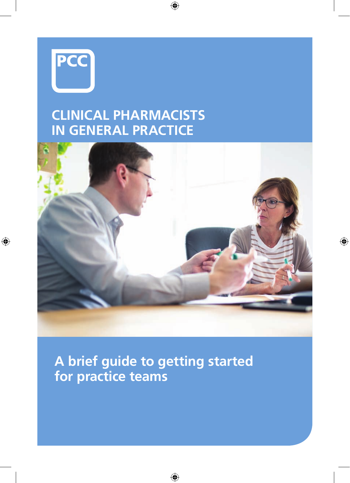

# **Clinical pharmacists in general practice**



 $\bigoplus$ 

 $\bigoplus$ 

# **A brief guide to getting started for practice teams**

 $\bigoplus$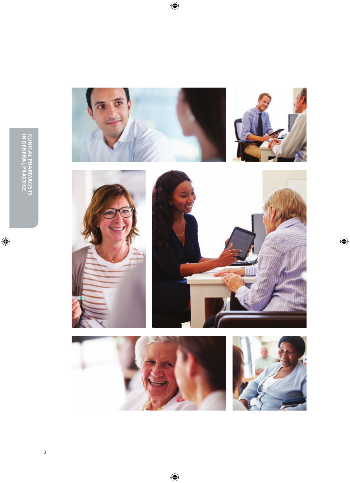



 $\bigoplus$ 

 $\bigoplus$ 

 $\bigoplus$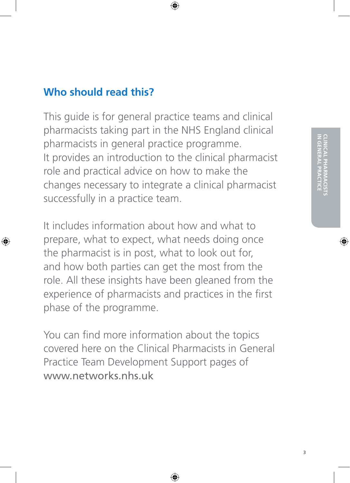### **Who should read this?**

⊕

This guide is for general practice teams and clinical pharmacists taking part in the NHS England clinical pharmacists in general practice programme. It provides an introduction to the clinical pharmacist role and practical advice on how to make the changes necessary to integrate a clinical pharmacist successfully in a practice team.

 $\bigoplus$ 

It includes information about how and what to prepare, what to expect, what needs doing once the pharmacist is in post, what to look out for, and how both parties can get the most from the role. All these insights have been gleaned from the experience of pharmacists and practices in the first phase of the programme.

You can find more information about the topics covered here on the Clinical Pharmacists in General Practice Team Development Support pages of www.networks.nhs.uk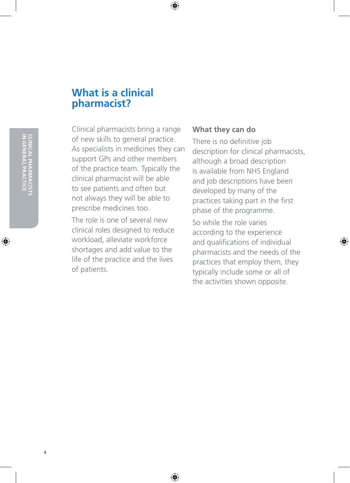### **What is a clinical pharmacist?**

Clinical pharmacists bring a range of new skills to general practice. As specialists in medicines they can support GPs and other members of the practice team. Typically the clinical pharmacist will be able to see patients and often but not always they will be able to prescribe medicines too.

The role is one of several new clinical roles designed to reduce workload, alleviate workforce shortages and add value to the life of the practice and the lives of patients.

### **What they can do**

 $\bigoplus$ 

 $\bigoplus$ 

There is no definitive job description for clinical pharmacists, although a broad description is available from NHS England and job descriptions have been developed by many of the practices taking part in the first phase of the programme.

So while the role varies according to the experience and qualifications of individual pharmacists and the needs of the practices that employ them, they typically include some or all of the activities shown opposite.

⊕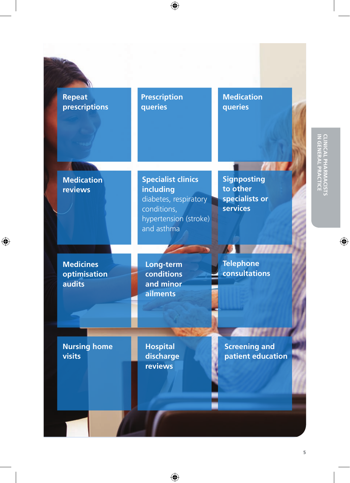

 $\bigoplus$ 

 $\bigoplus$ 

**LINI**<br>Distri **IN GENERAL PRACTICE CLINICAL PHARMACISTS**  ICAL PHARMACISTS<br>ENERAL PRACTICE

 $\bigoplus$ 

**5**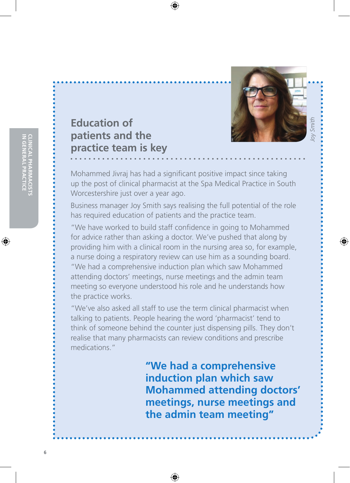

# **Education of patients and the practice team is key**

Mohammed Jivraj has had a significant positive impact since taking up the post of clinical pharmacist at the Spa Medical Practice in South Worcestershire just over a year ago.

Business manager Joy Smith says realising the full potential of the role has required education of patients and the practice team.

"We have worked to build staff confidence in going to Mohammed for advice rather than asking a doctor. We've pushed that along by providing him with a clinical room in the nursing area so, for example, a nurse doing a respiratory review can use him as a sounding board. "We had a comprehensive induction plan which saw Mohammed attending doctors' meetings, nurse meetings and the admin team meeting so everyone understood his role and he understands how the practice works.

"We've also asked all staff to use the term clinical pharmacist when talking to patients. People hearing the word 'pharmacist' tend to think of someone behind the counter just dispensing pills. They don't realise that many pharmacists can review conditions and prescribe medications."

⊕

**"We had a comprehensive induction plan which saw Mohammed attending doctors' meetings, nurse meetings and the admin team meeting"**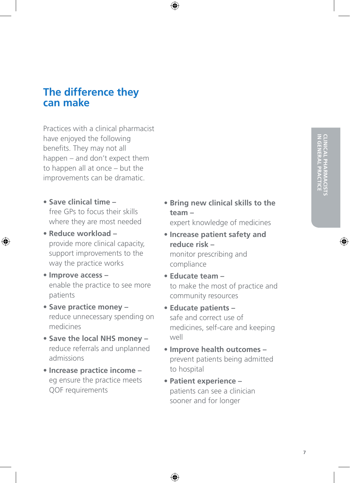♠

### **The difference they can make**

Practices with a clinical pharmacist have enjoyed the following benefits. They may not all happen – and don't expect them to happen all at once – but the improvements can be dramatic.

- **Save clinical time**  free GPs to focus their skills where they are most needed
- **Reduce workload**  provide more clinical capacity, support improvements to the way the practice works

⊕

- **Improve access**  enable the practice to see more patients
- **Save practice money**  reduce unnecessary spending on medicines
- **Save the local NHS money**  reduce referrals and unplanned admissions
- **Increase practice income**  eg ensure the practice meets QOF requirements

**• Bring new clinical skills to the team –** 

 $\bigoplus$ 

expert knowledge of medicines

- **Increase patient safety and reduce risk –**  monitor prescribing and compliance
- **Educate team**  to make the most of practice and community resources
- **Educate patients**  safe and correct use of medicines, self-care and keeping well
- **Improve health outcomes**  prevent patients being admitted to hospital
- **Patient experience**  patients can see a clinician sooner and for longer

 $\bigoplus$ 

**7**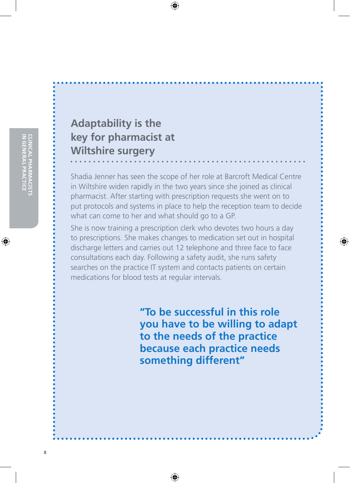# **Adaptability is the key for pharmacist at Wiltshire surgery**

Shadia Jenner has seen the scope of her role at Barcroft Medical Centre in Wiltshire widen rapidly in the two years since she joined as clinical pharmacist. After starting with prescription requests she went on to put protocols and systems in place to help the reception team to decide what can come to her and what should go to a GP.

She is now training a prescription clerk who devotes two hours a day to prescriptions. She makes changes to medication set out in hospital discharge letters and carries out 12 telephone and three face to face consultations each day. Following a safety audit, she runs safety searches on the practice IT system and contacts patients on certain medications for blood tests at regular intervals.

€

**"To be successful in this role you have to be willing to adapt to the needs of the practice because each practice needs something different"**

⊕

**8**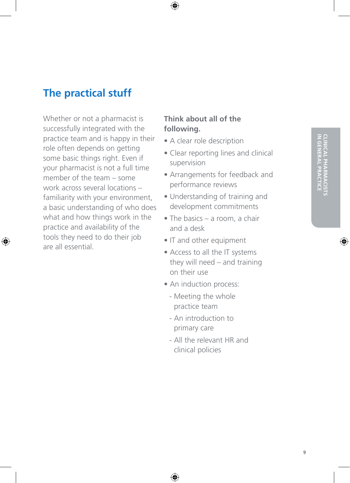♠

### **The practical stuff**

Whether or not a pharmacist is successfully integrated with the practice team and is happy in their role often depends on getting some basic things right. Even if your pharmacist is not a full time member of the team – some work across several locations – familiarity with your environment, a basic understanding of who does what and how things work in the practice and availability of the tools they need to do their job are all essential.

⊕

### **Think about all of the following.**

 $\bigoplus$ 

- A clear role description
- Clear reporting lines and clinical supervision
- Arrangements for feedback and performance reviews
- Understanding of training and development commitments
- The basics a room, a chair and a desk
- IT and other equipment
- Access to all the IT systems they will need – and training on their use
- An induction process:
	- Meeting the whole practice team
	- An introduction to primary care

⊕

- All the relevant HR and clinical policies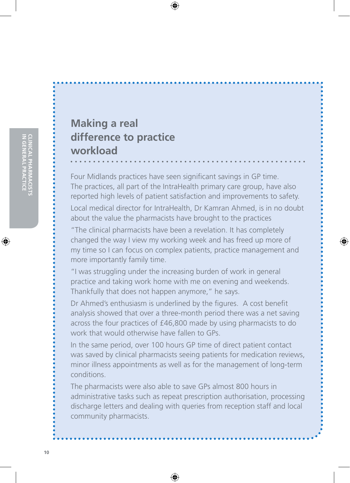**IN GENERAL PRACTICE CLINICAL PHARMACISTS JERAL PRACTICE** 

# **Making a real difference to practice workload**

Four Midlands practices have seen significant savings in GP time. The practices, all part of the IntraHealth primary care group, have also reported high levels of patient satisfaction and improvements to safety.

Local medical director for IntraHealth, Dr Kamran Ahmed, is in no doubt about the value the pharmacists have brought to the practices

"The clinical pharmacists have been a revelation. It has completely changed the way I view my working week and has freed up more of my time so I can focus on complex patients, practice management and more importantly family time.

"I was struggling under the increasing burden of work in general practice and taking work home with me on evening and weekends. Thankfully that does not happen anymore," he says.

Dr Ahmed's enthusiasm is underlined by the figures. A cost benefit analysis showed that over a three-month period there was a net saving across the four practices of £46,800 made by using pharmacists to do work that would otherwise have fallen to GPs.

In the same period, over 100 hours GP time of direct patient contact was saved by clinical pharmacists seeing patients for medication reviews, minor illness appointments as well as for the management of long-term conditions.

The pharmacists were also able to save GPs almost 800 hours in administrative tasks such as repeat prescription authorisation, processing discharge letters and dealing with queries from reception staff and local community pharmacists.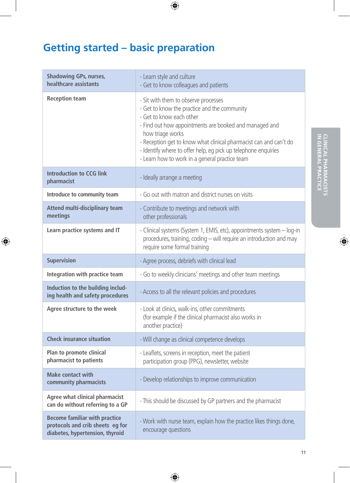# **Getting started – basic preparation**

 $\bigoplus$ 

| <b>Shadowing GPs, nurses,</b><br>healthcare assistants                                                      | - Learn style and culture<br>- Get to know colleagues and patients                                                                                                                                                                                                                                                                                                                      |
|-------------------------------------------------------------------------------------------------------------|-----------------------------------------------------------------------------------------------------------------------------------------------------------------------------------------------------------------------------------------------------------------------------------------------------------------------------------------------------------------------------------------|
| <b>Reception team</b>                                                                                       | - Sit with them to observe processes<br>- Get to know the practice and the community<br>- Get to know each other<br>- Find out how appointments are booked and managed and<br>how triage works<br>- Reception get to know what clinical pharmacist can and can't do<br>- Identify where to offer help, eg pick up telephone enquiries<br>- Learn how to work in a general practice team |
| <b>Introduction to CCG link</b><br>pharmacist                                                               | - Ideally arrange a meeting                                                                                                                                                                                                                                                                                                                                                             |
| Introduce to community team                                                                                 | - Go out with matron and district nurses on visits                                                                                                                                                                                                                                                                                                                                      |
| Attend multi-disciplinary team<br>meetings                                                                  | - Contribute to meetings and network with<br>other professionals                                                                                                                                                                                                                                                                                                                        |
| Learn practice systems and IT                                                                               | - Clinical systems (System 1, EMIS, etc), appointments system - log-in<br>procedures, training, coding - will require an introduction and may<br>require some formal training                                                                                                                                                                                                           |
| <b>Supervision</b>                                                                                          | - Agree process, debriefs with clinical lead                                                                                                                                                                                                                                                                                                                                            |
| Integration with practice team                                                                              | - Go to weekly clinicians' meetings and other team meetings                                                                                                                                                                                                                                                                                                                             |
| Induction to the building includ-<br>ing health and safety procedures                                       | - Access to all the relevant policies and procedures                                                                                                                                                                                                                                                                                                                                    |
| Agree structure to the week                                                                                 | - Look at clinics, walk-ins, other commitments<br>(for example if the clinical pharmacist also works in<br>another practice)                                                                                                                                                                                                                                                            |
| <b>Check insurance situation</b>                                                                            | - Will change as clinical competence develops                                                                                                                                                                                                                                                                                                                                           |
| Plan to promote clinical<br>pharmacist to patients                                                          | - Leaflets, screens in reception, meet the patient<br>participation group (PPG), newsletter, website                                                                                                                                                                                                                                                                                    |
| <b>Make contact with</b><br>community pharmacists                                                           | - Develop relationships to improve communication                                                                                                                                                                                                                                                                                                                                        |
| Agree what clinical pharmacist<br>can do without referring to a GP                                          | - This should be discussed by GP partners and the pharmacist                                                                                                                                                                                                                                                                                                                            |
| <b>Become familiar with practice</b><br>protocols and crib sheets eg for<br>diabetes, hypertension, thyroid | - Work with nurse team, explain how the practice likes things done,<br>encourage questions                                                                                                                                                                                                                                                                                              |

 $\bigoplus$ 

**CLINICAL PHARMACISTS**<br>IN GENERAL PRACTICE **IN GENERAL PRACTICE CLINICAL PHARMACISTS** 

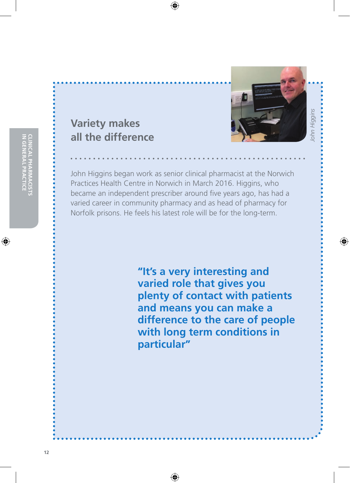

### **Variety makes all the difference**

John Higgins began work as senior clinical pharmacist at the Norwich Practices Health Centre in Norwich in March 2016. Higgins, who became an independent prescriber around five years ago, has had a varied career in community pharmacy and as head of pharmacy for Norfolk prisons. He feels his latest role will be for the long-term.

⊕

⊕

**"It's a very interesting and varied role that gives you plenty of contact with patients and means you can make a difference to the care of people with long term conditions in particular"**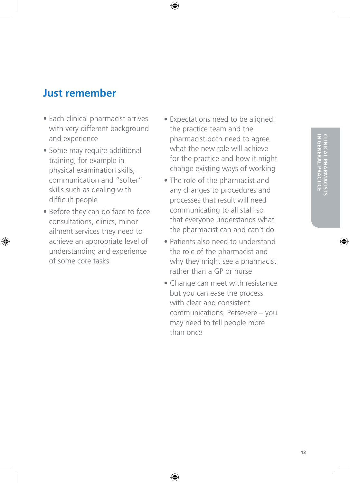### **Just remember**

- Each clinical pharmacist arrives with very different background and experience
- Some may require additional training, for example in physical examination skills, communication and "softer" skills such as dealing with difficult people
- Before they can do face to face consultations, clinics, minor ailment services they need to achieve an appropriate level of understanding and experience of some core tasks

⊕

• Expectations need to be aligned: the practice team and the pharmacist both need to agree what the new role will achieve for the practice and how it might change existing ways of working

 $\bigoplus$ 

- The role of the pharmacist and any changes to procedures and processes that result will need communicating to all staff so that everyone understands what the pharmacist can and can't do
- Patients also need to understand the role of the pharmacist and why they might see a pharmacist rather than a GP or nurse
- Change can meet with resistance but you can ease the process with clear and consistent communications. Persevere – you may need to tell people more than once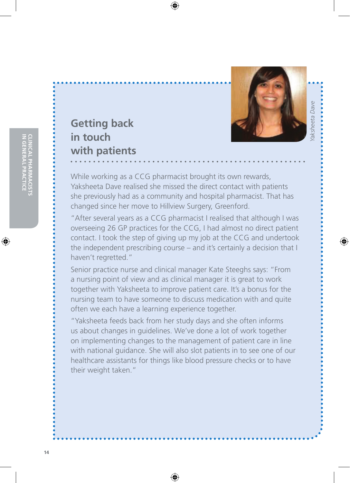

# **Getting back in touch with patients**

While working as a CCG pharmacist brought its own rewards, Yaksheeta Dave realised she missed the direct contact with patients she previously had as a community and hospital pharmacist. That has changed since her move to Hillview Surgery, Greenford.

"After several years as a CCG pharmacist I realised that although I was overseeing 26 GP practices for the CCG, I had almost no direct patient contact. I took the step of giving up my job at the CCG and undertook the independent prescribing course – and it's certainly a decision that I haven't regretted."

Senior practice nurse and clinical manager Kate Steeghs says: "From a nursing point of view and as clinical manager it is great to work together with Yaksheeta to improve patient care. It's a bonus for the nursing team to have someone to discuss medication with and quite often we each have a learning experience together.

"Yaksheeta feeds back from her study days and she often informs us about changes in guidelines. We've done a lot of work together on implementing changes to the management of patient care in line with national guidance. She will also slot patients in to see one of our healthcare assistants for things like blood pressure checks or to have their weight taken."

**IN GENERAL PRACTICE CLINICAL PHARMACISTS**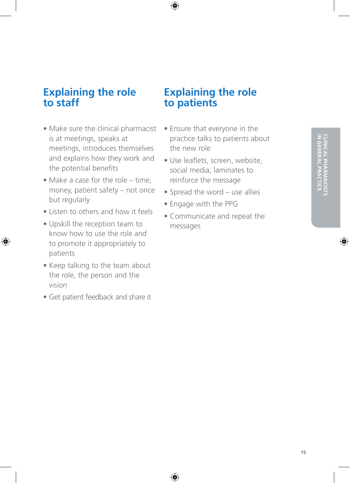# **CLINICAL PHARMACISTS**<br>IN GENERAL PRACTICE **IN GENERAL PRACTICE CLINICAL PHARMACISTS**

♠

### **Explaining the role to staff**

- Make sure the clinical pharmacist is at meetings, speaks at meetings, introduces themselves and explains how they work and the potential benefits
- Make a case for the role time, money, patient safety – not once but regularly
- Listen to others and how it feels
- Upskill the reception team to know how to use the role and to promote it appropriately to patients

⊕

- Keep talking to the team about the role, the person and the vision
- Get patient feedback and share it

### **Explaining the role to patients**

 $\bigoplus$ 

- Ensure that everyone in the practice talks to patients about the new role
- Use leaflets, screen, website, social media, laminates to reinforce the message
- Spread the word use allies
- Engage with the PPG

 $\bigoplus$ 

• Communicate and repeat the messages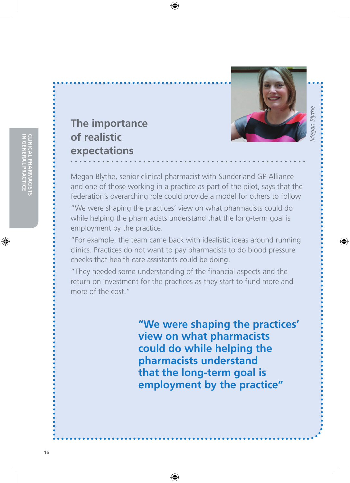

# **IN GENERAL PRACTICE CLINICAL PHARMACISTS**

⊕

# **The importance of realistic expectations**

Megan Blythe, senior clinical pharmacist with Sunderland GP Alliance and one of those working in a practice as part of the pilot, says that the federation's overarching role could provide a model for others to follow

"We were shaping the practices' view on what pharmacists could do while helping the pharmacists understand that the long-term goal is employment by the practice.

"For example, the team came back with idealistic ideas around running clinics. Practices do not want to pay pharmacists to do blood pressure checks that health care assistants could be doing.

"They needed some understanding of the financial aspects and the return on investment for the practices as they start to fund more and more of the cost."

⊕

**"We were shaping the practices' view on what pharmacists could do while helping the pharmacists understand that the long-term goal is employment by the practice"**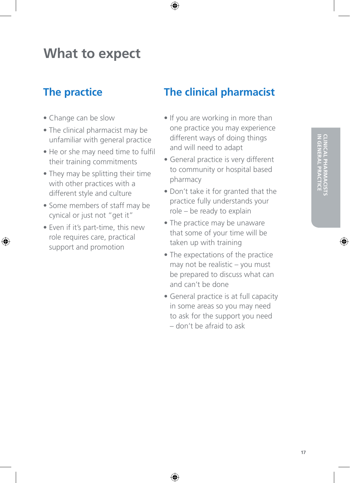# **What to expect**

### **The practice**

- Change can be slow
- The clinical pharmacist may be unfamiliar with general practice
- He or she may need time to fulfil their training commitments
- They may be splitting their time with other practices with a different style and culture
- Some members of staff may be cynical or just not "get it"
- Even if it's part-time, this new role requires care, practical support and promotion

↔

### **The clinical pharmacist**

 $\bigoplus$ 

- If you are working in more than one practice you may experience different ways of doing things and will need to adapt
- General practice is very different to community or hospital based pharmacy
- Don't take it for granted that the practice fully understands your role – be ready to explain
- The practice may be unaware that some of your time will be taken up with training
- The expectations of the practice may not be realistic – you must be prepared to discuss what can and can't be done
- General practice is at full capacity in some areas so you may need to ask for the support you need – don't be afraid to ask

 $\bigoplus$ 

♠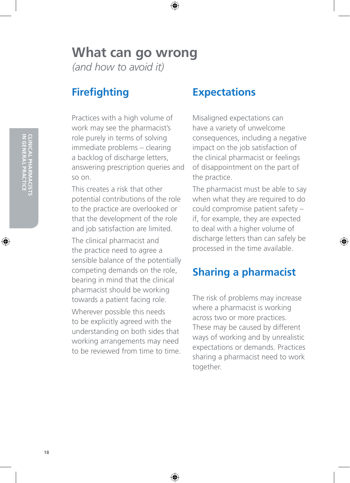### **What can go wrong**

 $\bigoplus$ 

*(and how to avoid it)*

### **Firefighting**

Practices with a high volume of work may see the pharmacist's role purely in terms of solving immediate problems – clearing a backlog of discharge letters, answering prescription queries and so on.

This creates a risk that other potential contributions of the role to the practice are overlooked or that the development of the role and job satisfaction are limited.

The clinical pharmacist and the practice need to agree a sensible balance of the potentially competing demands on the role, bearing in mind that the clinical pharmacist should be working towards a patient facing role. Wherever possible this needs to be explicitly agreed with the understanding on both sides that working arrangements may need to be reviewed from time to time.

 $\bigoplus$ 

### **Expectations**

Misaligned expectations can have a variety of unwelcome consequences, including a negative impact on the job satisfaction of the clinical pharmacist or feelings of disappointment on the part of the practice.

The pharmacist must be able to say when what they are required to do could compromise patient safety – if, for example, they are expected to deal with a higher volume of discharge letters than can safely be processed in the time available.

⊕

### **Sharing a pharmacist**

The risk of problems may increase where a pharmacist is working across two or more practices. These may be caused by different ways of working and by unrealistic expectations or demands. Practices sharing a pharmacist need to work together.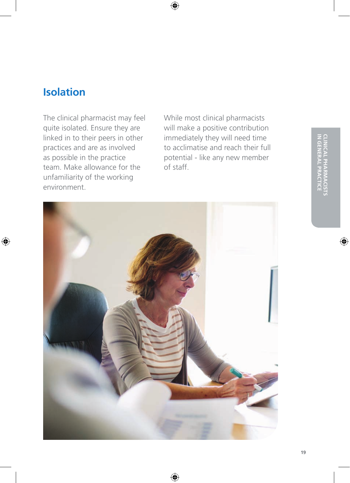### **Isolation**

 $\bigoplus$ 

The clinical pharmacist may feel quite isolated. Ensure they are linked in to their peers in other practices and are as involved as possible in the practice team. Make allowance for the unfamiliarity of the working environment.

While most clinical pharmacists will make a positive contribution immediately they will need time to acclimatise and reach their full potential - like any new member of staff.

 $\bigoplus$ 

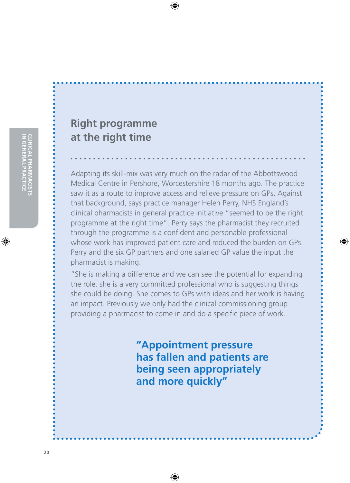### **Right programme at the right time**

Adapting its skill-mix was very much on the radar of the Abbottswood Medical Centre in Pershore, Worcestershire 18 months ago. The practice saw it as a route to improve access and relieve pressure on GPs. Against that background, says practice manager Helen Perry, NHS England's clinical pharmacists in general practice initiative "seemed to be the right programme at the right time". Perry says the pharmacist they recruited through the programme is a confident and personable professional whose work has improved patient care and reduced the burden on GPs. Perry and the six GP partners and one salaried GP value the input the pharmacist is making.

"She is making a difference and we can see the potential for expanding the role: she is a very committed professional who is suggesting things she could be doing. She comes to GPs with ideas and her work is having an impact. Previously we only had the clinical commissioning group providing a pharmacist to come in and do a specific piece of work.

€

**"Appointment pressure has fallen and patients are being seen appropriately and more quickly"**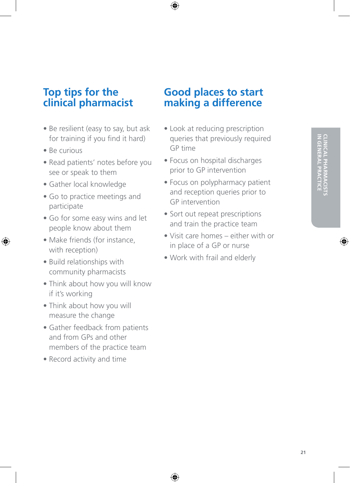### **Top tips for the clinical pharmacist**

- Be resilient (easy to say, but ask for training if you find it hard)
- Be curious

⊕

- Read patients' notes before you see or speak to them
- Gather local knowledge
- Go to practice meetings and participate
- Go for some easy wins and let people know about them
- Make friends (for instance, with reception)
- Build relationships with community pharmacists
- Think about how you will know if it's working
- Think about how you will measure the change
- Gather feedback from patients and from GPs and other members of the practice team
- Record activity and time

### **Good places to start making a difference**

 $\bigoplus$ 

- Look at reducing prescription queries that previously required GP time
- Focus on hospital discharges prior to GP intervention
- Focus on polypharmacy patient and reception queries prior to GP intervention
- Sort out repeat prescriptions and train the practice team
- Visit care homes either with or in place of a GP or nurse
- Work with frail and elderly

⊕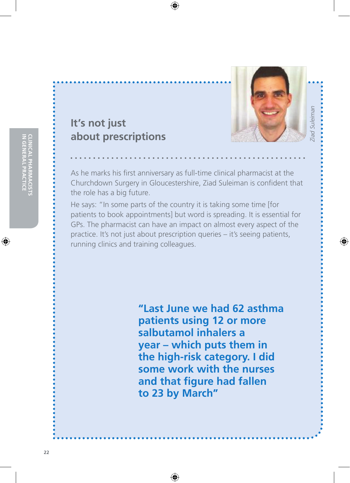

### **It's not just about prescriptions**

As he marks his first anniversary as full-time clinical pharmacist at the Churchdown Surgery in Gloucestershire, Ziad Suleiman is confident that the role has a big future.

He says: "In some parts of the country it is taking some time [for patients to book appointments] but word is spreading. It is essential for GPs. The pharmacist can have an impact on almost every aspect of the practice. It's not just about prescription queries – it's seeing patients, running clinics and training colleagues.

⊕

**"Last June we had 62 asthma patients using 12 or more salbutamol inhalers a year – which puts them in the high-risk category. I did some work with the nurses and that figure had fallen to 23 by March"**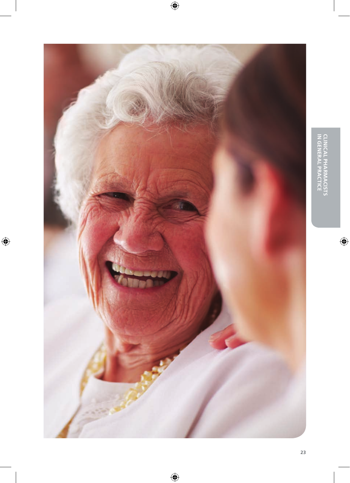

 $\bigoplus$ 

 $\bigoplus$ 

**CLINICAL PHARMACISTS**<br>IN GENERAL PRACTICE **IN GENERAL PRACTICE CLINICAL PHARMACISTS** 

 $\bigoplus$